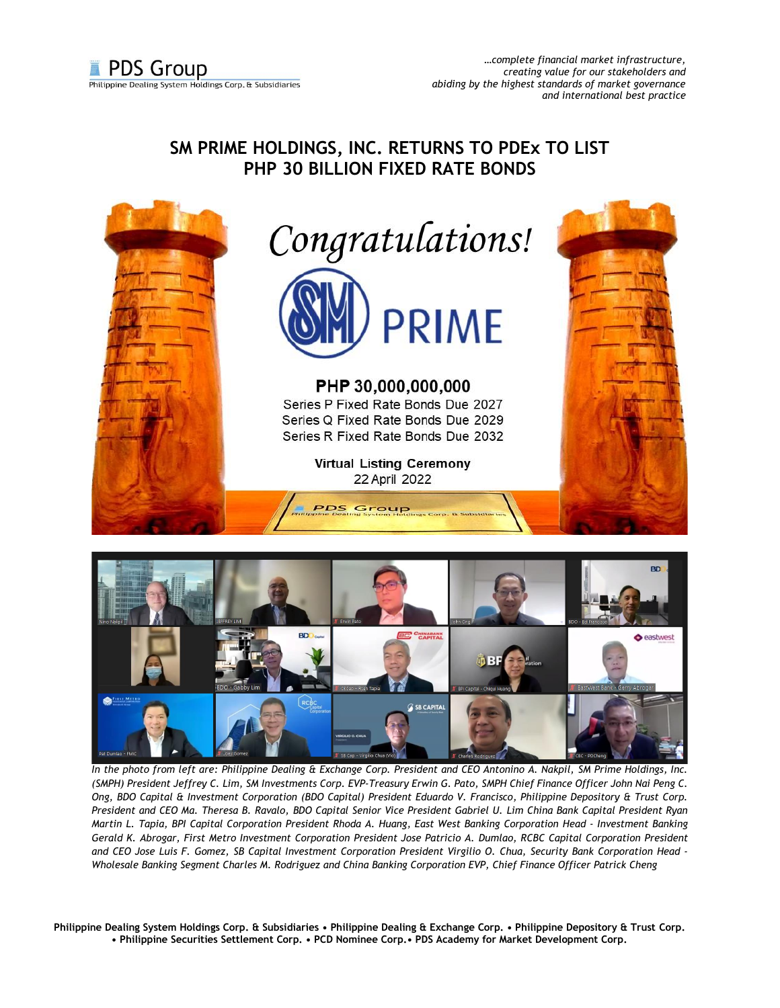## **SM PRIME HOLDINGS, INC. RETURNS TO PDEx TO LIST PHP 30 BILLION FIXED RATE BONDS**





*In the photo from left are: Philippine Dealing & Exchange Corp. President and CEO Antonino A. Nakpil, SM Prime Holdings, Inc. (SMPH) President Jeffrey C. Lim, SM Investments Corp. EVP-Treasury Erwin G. Pato, SMPH Chief Finance Officer John Nai Peng C. Ong, BDO Capital & Investment Corporation (BDO Capital) President Eduardo V. Francisco, Philippine Depository & Trust Corp. President and CEO Ma. Theresa B. Ravalo, BDO Capital Senior Vice President Gabriel U. Lim China Bank Capital President Ryan Martin L. Tapia, BPI Capital Corporation President Rhoda A. Huang, East West Banking Corporation Head - Investment Banking Gerald K. Abrogar, First Metro Investment Corporation President Jose Patricio A. Dumlao, RCBC Capital Corporation President and CEO Jose Luis F. Gomez, SB Capital Investment Corporation President Virgilio O. Chua, Security Bank Corporation Head - Wholesale Banking Segment Charles M. Rodriguez and China Banking Corporation EVP, Chief Finance Officer Patrick Cheng*

**Philippine Dealing System Holdings Corp. & Subsidiaries • Philippine Dealing & Exchange Corp. • Philippine Depository & Trust Corp. • Philippine Securities Settlement Corp. • PCD Nominee Corp.• PDS Academy for Market Development Corp.**